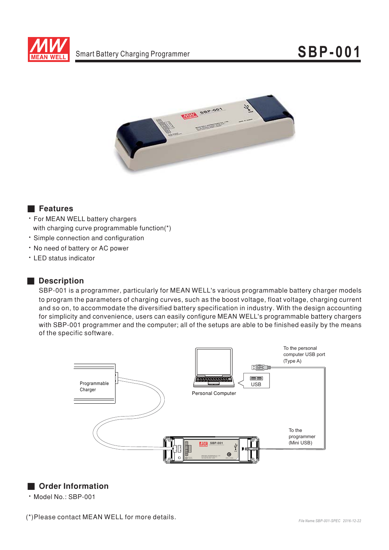



## **Executer** Features

- For MEAN WELL battery chargers with charging curve programmable function(\*)
- · Simple connection and configuration
- . No need of battery or AC power
- LED status indicator

## Description

SBP-001 is a programmer, particularly for MEAN WELL's various programmable battery charger models to program the parameters of charging curves, such as the boost voltage, float voltage, charging current and so on, to accommodate the diversified battery specification in industry. With the design accounting for simplicity and convenience, users can easily configure MEAN WELL's programmable battery chargers with SBP-001 programmer and the computer; all of the setups are able to be finished easily by the means of the specific software.



## Order Information

· Model No.: SBP-001